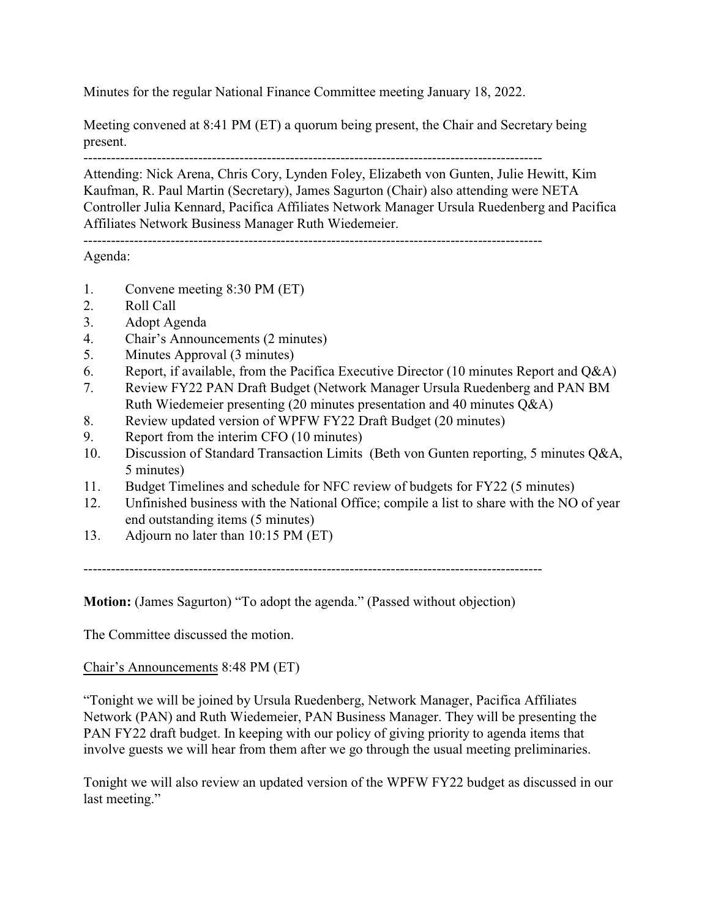Minutes for the regular National Finance Committee meeting January 18, 2022.

Meeting convened at 8:41 PM (ET) a quorum being present, the Chair and Secretary being present.

----------------------------------------------------------------------------------------------------

Attending: Nick Arena, Chris Cory, Lynden Foley, Elizabeth von Gunten, Julie Hewitt, Kim Kaufman, R. Paul Martin (Secretary), James Sagurton (Chair) also attending were NETA Controller Julia Kennard, Pacifica Affiliates Network Manager Ursula Ruedenberg and Pacifica Affiliates Network Business Manager Ruth Wiedemeier.

----------------------------------------------------------------------------------------------------

# Agenda:

- 1. Convene meeting 8:30 PM (ET)
- 2. Roll Call
- 3. Adopt Agenda
- 4. Chair's Announcements (2 minutes)
- 5. Minutes Approval (3 minutes)
- 6. Report, if available, from the Pacifica Executive Director (10 minutes Report and Q&A)
- 7. Review FY22 PAN Draft Budget (Network Manager Ursula Ruedenberg and PAN BM Ruth Wiedemeier presenting (20 minutes presentation and 40 minutes Q&A)
- 8. Review updated version of WPFW FY22 Draft Budget (20 minutes)
- 9. Report from the interim CFO (10 minutes)
- 10. Discussion of Standard Transaction Limits (Beth von Gunten reporting, 5 minutes Q&A, 5 minutes)
- 11. Budget Timelines and schedule for NFC review of budgets for FY22 (5 minutes)
- 12. Unfinished business with the National Office; compile a list to share with the NO of year end outstanding items (5 minutes)
- 13. Adjourn no later than 10:15 PM (ET)

----------------------------------------------------------------------------------------------------

**Motion:** (James Sagurton) "To adopt the agenda." (Passed without objection)

The Committee discussed the motion.

Chair's Announcements 8:48 PM (ET)

"Tonight we will be joined by Ursula Ruedenberg, Network Manager, Pacifica Affiliates Network (PAN) and Ruth Wiedemeier, PAN Business Manager. They will be presenting the PAN FY22 draft budget. In keeping with our policy of giving priority to agenda items that involve guests we will hear from them after we go through the usual meeting preliminaries.

Tonight we will also review an updated version of the WPFW FY22 budget as discussed in our last meeting."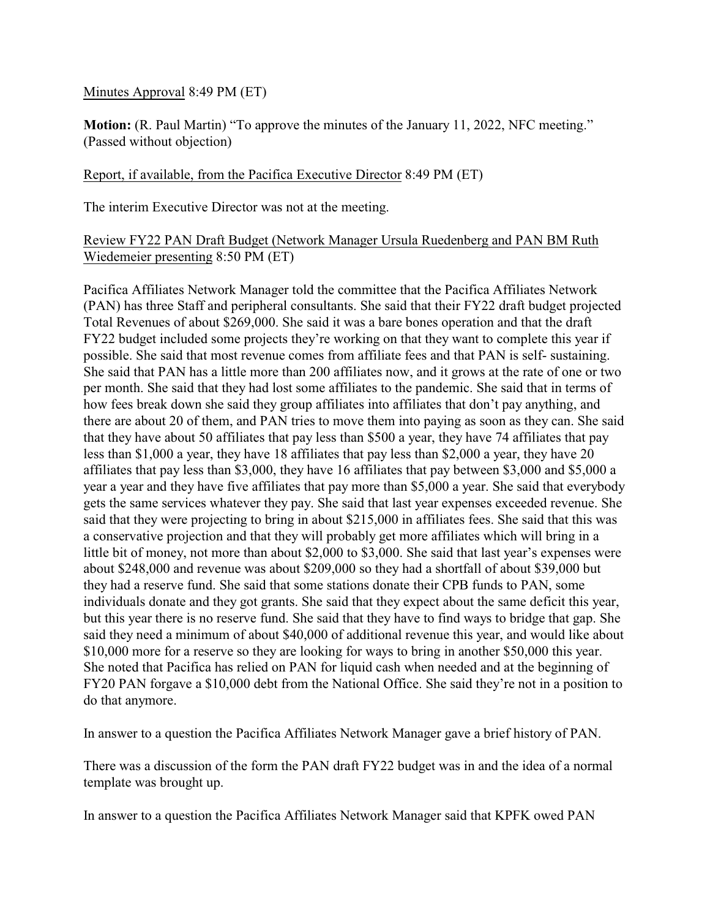Minutes Approval 8:49 PM (ET)

**Motion:** (R. Paul Martin) "To approve the minutes of the January 11, 2022, NFC meeting." (Passed without objection)

## Report, if available, from the Pacifica Executive Director 8:49 PM (ET)

The interim Executive Director was not at the meeting.

## Review FY22 PAN Draft Budget (Network Manager Ursula Ruedenberg and PAN BM Ruth Wiedemeier presenting 8:50 PM (ET)

Pacifica Affiliates Network Manager told the committee that the Pacifica Affiliates Network (PAN) has three Staff and peripheral consultants. She said that their FY22 draft budget projected Total Revenues of about \$269,000. She said it was a bare bones operation and that the draft FY22 budget included some projects they're working on that they want to complete this year if possible. She said that most revenue comes from affiliate fees and that PAN is self- sustaining. She said that PAN has a little more than 200 affiliates now, and it grows at the rate of one or two per month. She said that they had lost some affiliates to the pandemic. She said that in terms of how fees break down she said they group affiliates into affiliates that don't pay anything, and there are about 20 of them, and PAN tries to move them into paying as soon as they can. She said that they have about 50 affiliates that pay less than \$500 a year, they have 74 affiliates that pay less than \$1,000 a year, they have 18 affiliates that pay less than \$2,000 a year, they have 20 affiliates that pay less than \$3,000, they have 16 affiliates that pay between \$3,000 and \$5,000 a year a year and they have five affiliates that pay more than \$5,000 a year. She said that everybody gets the same services whatever they pay. She said that last year expenses exceeded revenue. She said that they were projecting to bring in about \$215,000 in affiliates fees. She said that this was a conservative projection and that they will probably get more affiliates which will bring in a little bit of money, not more than about \$2,000 to \$3,000. She said that last year's expenses were about \$248,000 and revenue was about \$209,000 so they had a shortfall of about \$39,000 but they had a reserve fund. She said that some stations donate their CPB funds to PAN, some individuals donate and they got grants. She said that they expect about the same deficit this year, but this year there is no reserve fund. She said that they have to find ways to bridge that gap. She said they need a minimum of about \$40,000 of additional revenue this year, and would like about \$10,000 more for a reserve so they are looking for ways to bring in another \$50,000 this year. She noted that Pacifica has relied on PAN for liquid cash when needed and at the beginning of FY20 PAN forgave a \$10,000 debt from the National Office. She said they're not in a position to do that anymore.

In answer to a question the Pacifica Affiliates Network Manager gave a brief history of PAN.

There was a discussion of the form the PAN draft FY22 budget was in and the idea of a normal template was brought up.

In answer to a question the Pacifica Affiliates Network Manager said that KPFK owed PAN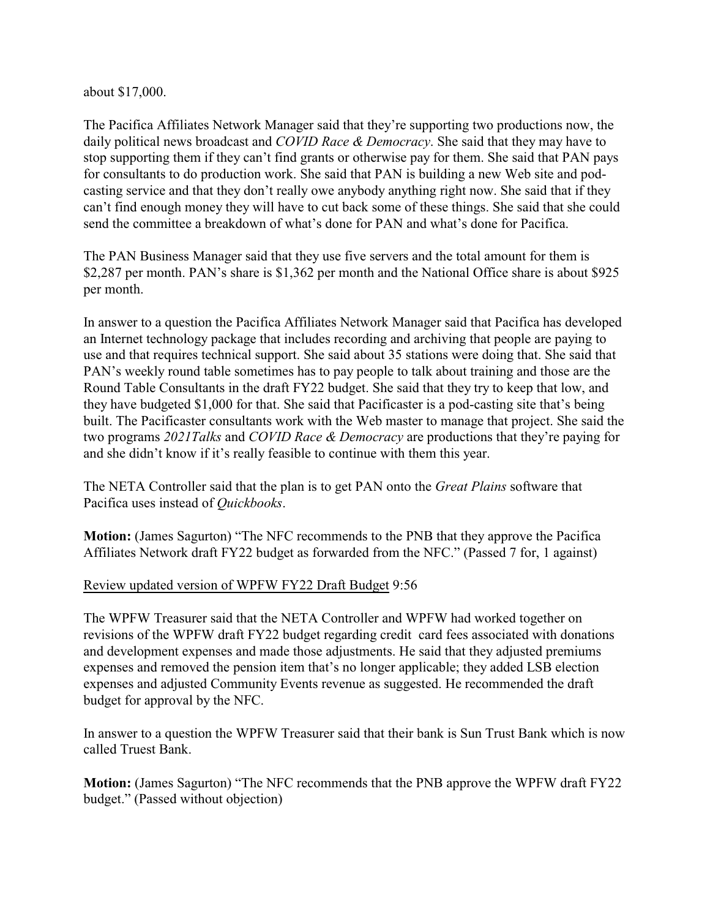about \$17,000.

The Pacifica Affiliates Network Manager said that they're supporting two productions now, the daily political news broadcast and *COVID Race & Democracy*. She said that they may have to stop supporting them if they can't find grants or otherwise pay for them. She said that PAN pays for consultants to do production work. She said that PAN is building a new Web site and podcasting service and that they don't really owe anybody anything right now. She said that if they can't find enough money they will have to cut back some of these things. She said that she could send the committee a breakdown of what's done for PAN and what's done for Pacifica.

The PAN Business Manager said that they use five servers and the total amount for them is \$2,287 per month. PAN's share is \$1,362 per month and the National Office share is about \$925 per month.

In answer to a question the Pacifica Affiliates Network Manager said that Pacifica has developed an Internet technology package that includes recording and archiving that people are paying to use and that requires technical support. She said about 35 stations were doing that. She said that PAN's weekly round table sometimes has to pay people to talk about training and those are the Round Table Consultants in the draft FY22 budget. She said that they try to keep that low, and they have budgeted \$1,000 for that. She said that Pacificaster is a pod-casting site that's being built. The Pacificaster consultants work with the Web master to manage that project. She said the two programs *2021Talks* and *COVID Race & Democracy* are productions that they're paying for and she didn't know if it's really feasible to continue with them this year.

The NETA Controller said that the plan is to get PAN onto the *Great Plains* software that Pacifica uses instead of *Quickbooks*.

**Motion:** (James Sagurton) "The NFC recommends to the PNB that they approve the Pacifica Affiliates Network draft FY22 budget as forwarded from the NFC." (Passed 7 for, 1 against)

# Review updated version of WPFW FY22 Draft Budget 9:56

The WPFW Treasurer said that the NETA Controller and WPFW had worked together on revisions of the WPFW draft FY22 budget regarding credit card fees associated with donations and development expenses and made those adjustments. He said that they adjusted premiums expenses and removed the pension item that's no longer applicable; they added LSB election expenses and adjusted Community Events revenue as suggested. He recommended the draft budget for approval by the NFC.

In answer to a question the WPFW Treasurer said that their bank is Sun Trust Bank which is now called Truest Bank.

**Motion:** (James Sagurton) "The NFC recommends that the PNB approve the WPFW draft FY22 budget." (Passed without objection)